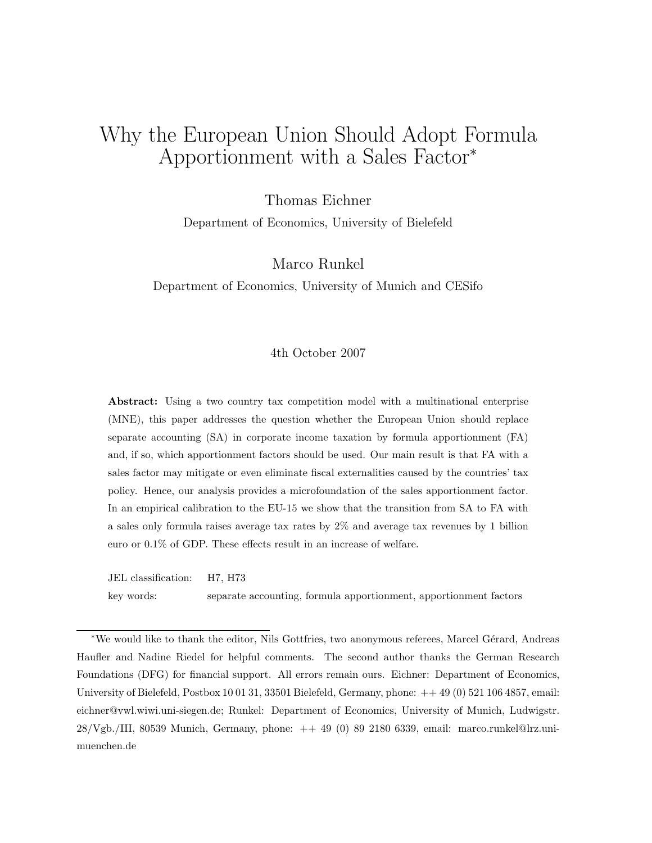# Why the European Union Should Adopt Formula Apportionment with a Sales Factor<sup>∗</sup>

Thomas Eichner

Department of Economics, University of Bielefeld

Marco Runkel

Department of Economics, University of Munich and CESifo

#### 4th October 2007

Abstract: Using a two country tax competition model with a multinational enterprise (MNE), this paper addresses the question whether the European Union should replace separate accounting (SA) in corporate income taxation by formula apportionment (FA) and, if so, which apportionment factors should be used. Our main result is that FA with a sales factor may mitigate or even eliminate fiscal externalities caused by the countries' tax policy. Hence, our analysis provides a microfoundation of the sales apportionment factor. In an empirical calibration to the EU-15 we show that the transition from SA to FA with a sales only formula raises average tax rates by 2% and average tax revenues by 1 billion euro or 0.1% of GDP. These effects result in an increase of welfare.

JEL classification: H7, H73

key words: separate accounting, formula apportionment, apportionment factors

<sup>∗</sup>We would like to thank the editor, Nils Gottfries, two anonymous referees, Marcel G´erard, Andreas Haufler and Nadine Riedel for helpful comments. The second author thanks the German Research Foundations (DFG) for financial support. All errors remain ours. Eichner: Department of Economics, University of Bielefeld, Postbox 10 01 31, 33501 Bielefeld, Germany, phone: ++ 49 (0) 521 106 4857, email: eichner@vwl.wiwi.uni-siegen.de; Runkel: Department of Economics, University of Munich, Ludwigstr. 28/Vgb./III, 80539 Munich, Germany, phone: ++ 49 (0) 89 2180 6339, email: marco.runkel@lrz.unimuenchen.de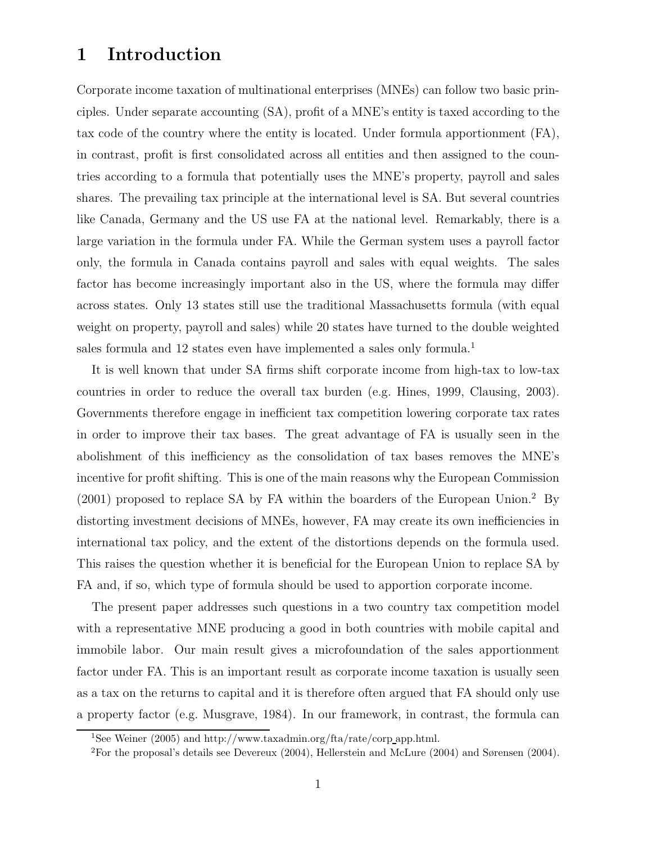# 1 Introduction

Corporate income taxation of multinational enterprises (MNEs) can follow two basic principles. Under separate accounting (SA), profit of a MNE's entity is taxed according to the tax code of the country where the entity is located. Under formula apportionment (FA), in contrast, profit is first consolidated across all entities and then assigned to the countries according to a formula that potentially uses the MNE's property, payroll and sales shares. The prevailing tax principle at the international level is SA. But several countries like Canada, Germany and the US use FA at the national level. Remarkably, there is a large variation in the formula under FA. While the German system uses a payroll factor only, the formula in Canada contains payroll and sales with equal weights. The sales factor has become increasingly important also in the US, where the formula may differ across states. Only 13 states still use the traditional Massachusetts formula (with equal weight on property, payroll and sales) while 20 states have turned to the double weighted sales formula and 12 states even have implemented a sales only formula.<sup>1</sup>

It is well known that under SA firms shift corporate income from high-tax to low-tax countries in order to reduce the overall tax burden (e.g. Hines, 1999, Clausing, 2003). Governments therefore engage in inefficient tax competition lowering corporate tax rates in order to improve their tax bases. The great advantage of FA is usually seen in the abolishment of this inefficiency as the consolidation of tax bases removes the MNE's incentive for profit shifting. This is one of the main reasons why the European Commission (2001) proposed to replace SA by FA within the boarders of the European Union.<sup>2</sup> By distorting investment decisions of MNEs, however, FA may create its own inefficiencies in international tax policy, and the extent of the distortions depends on the formula used. This raises the question whether it is beneficial for the European Union to replace SA by FA and, if so, which type of formula should be used to apportion corporate income.

The present paper addresses such questions in a two country tax competition model with a representative MNE producing a good in both countries with mobile capital and immobile labor. Our main result gives a microfoundation of the sales apportionment factor under FA. This is an important result as corporate income taxation is usually seen as a tax on the returns to capital and it is therefore often argued that FA should only use a property factor (e.g. Musgrave, 1984). In our framework, in contrast, the formula can

<sup>1</sup>See Weiner (2005) and http://www.taxadmin.org/fta/rate/corp app.html.

<sup>2</sup>For the proposal's details see Devereux (2004), Hellerstein and McLure (2004) and Sørensen (2004).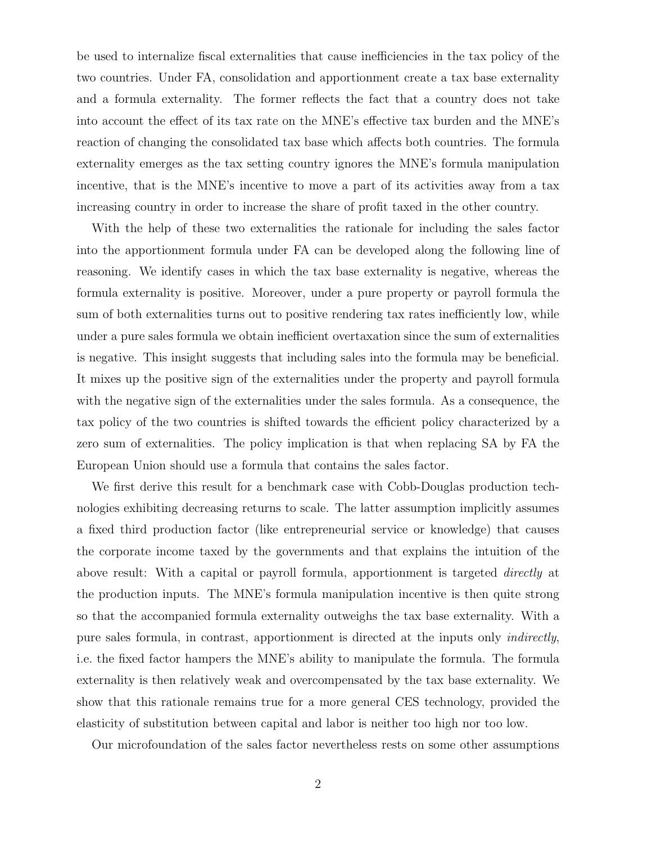be used to internalize fiscal externalities that cause inefficiencies in the tax policy of the two countries. Under FA, consolidation and apportionment create a tax base externality and a formula externality. The former reflects the fact that a country does not take into account the effect of its tax rate on the MNE's effective tax burden and the MNE's reaction of changing the consolidated tax base which affects both countries. The formula externality emerges as the tax setting country ignores the MNE's formula manipulation incentive, that is the MNE's incentive to move a part of its activities away from a tax increasing country in order to increase the share of profit taxed in the other country.

With the help of these two externalities the rationale for including the sales factor into the apportionment formula under FA can be developed along the following line of reasoning. We identify cases in which the tax base externality is negative, whereas the formula externality is positive. Moreover, under a pure property or payroll formula the sum of both externalities turns out to positive rendering tax rates inefficiently low, while under a pure sales formula we obtain inefficient overtaxation since the sum of externalities is negative. This insight suggests that including sales into the formula may be beneficial. It mixes up the positive sign of the externalities under the property and payroll formula with the negative sign of the externalities under the sales formula. As a consequence, the tax policy of the two countries is shifted towards the efficient policy characterized by a zero sum of externalities. The policy implication is that when replacing SA by FA the European Union should use a formula that contains the sales factor.

We first derive this result for a benchmark case with Cobb-Douglas production technologies exhibiting decreasing returns to scale. The latter assumption implicitly assumes a fixed third production factor (like entrepreneurial service or knowledge) that causes the corporate income taxed by the governments and that explains the intuition of the above result: With a capital or payroll formula, apportionment is targeted *directly* at the production inputs. The MNE's formula manipulation incentive is then quite strong so that the accompanied formula externality outweighs the tax base externality. With a pure sales formula, in contrast, apportionment is directed at the inputs only indirectly, i.e. the fixed factor hampers the MNE's ability to manipulate the formula. The formula externality is then relatively weak and overcompensated by the tax base externality. We show that this rationale remains true for a more general CES technology, provided the elasticity of substitution between capital and labor is neither too high nor too low.

Our microfoundation of the sales factor nevertheless rests on some other assumptions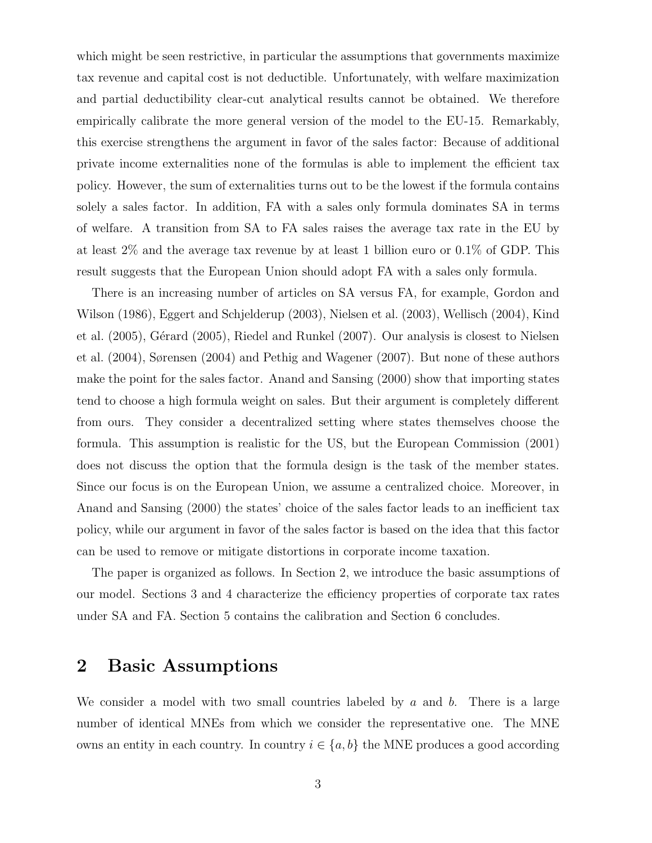which might be seen restrictive, in particular the assumptions that governments maximize tax revenue and capital cost is not deductible. Unfortunately, with welfare maximization and partial deductibility clear-cut analytical results cannot be obtained. We therefore empirically calibrate the more general version of the model to the EU-15. Remarkably, this exercise strengthens the argument in favor of the sales factor: Because of additional private income externalities none of the formulas is able to implement the efficient tax policy. However, the sum of externalities turns out to be the lowest if the formula contains solely a sales factor. In addition, FA with a sales only formula dominates SA in terms of welfare. A transition from SA to FA sales raises the average tax rate in the EU by at least 2% and the average tax revenue by at least 1 billion euro or 0.1% of GDP. This result suggests that the European Union should adopt FA with a sales only formula.

There is an increasing number of articles on SA versus FA, for example, Gordon and Wilson (1986), Eggert and Schjelderup (2003), Nielsen et al. (2003), Wellisch (2004), Kind et al. (2005), Gérard (2005), Riedel and Runkel (2007). Our analysis is closest to Nielsen et al. (2004), Sørensen (2004) and Pethig and Wagener (2007). But none of these authors make the point for the sales factor. Anand and Sansing (2000) show that importing states tend to choose a high formula weight on sales. But their argument is completely different from ours. They consider a decentralized setting where states themselves choose the formula. This assumption is realistic for the US, but the European Commission (2001) does not discuss the option that the formula design is the task of the member states. Since our focus is on the European Union, we assume a centralized choice. Moreover, in Anand and Sansing (2000) the states' choice of the sales factor leads to an inefficient tax policy, while our argument in favor of the sales factor is based on the idea that this factor can be used to remove or mitigate distortions in corporate income taxation.

The paper is organized as follows. In Section 2, we introduce the basic assumptions of our model. Sections 3 and 4 characterize the efficiency properties of corporate tax rates under SA and FA. Section 5 contains the calibration and Section 6 concludes.

## 2 Basic Assumptions

We consider a model with two small countries labeled by  $a$  and  $b$ . There is a large number of identical MNEs from which we consider the representative one. The MNE owns an entity in each country. In country  $i \in \{a, b\}$  the MNE produces a good according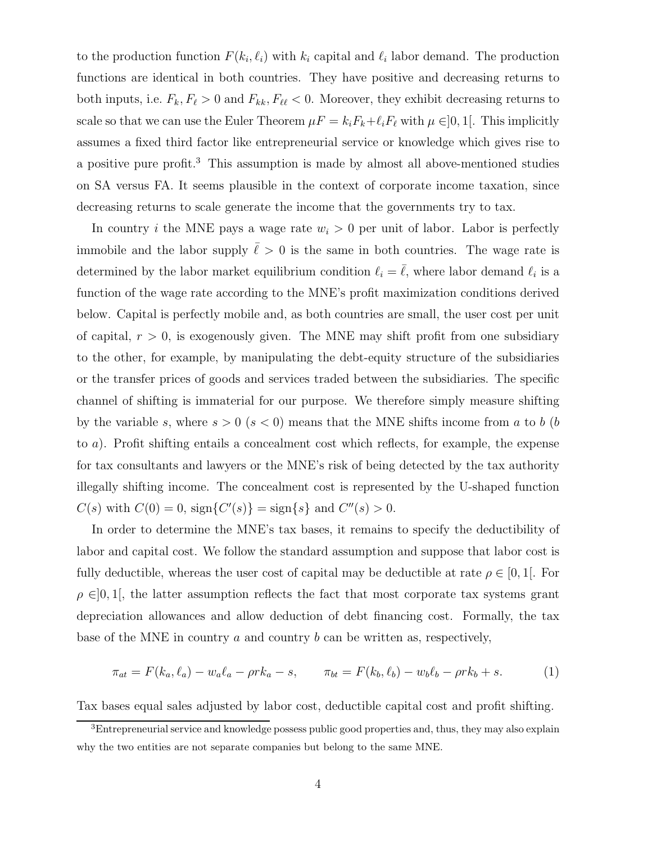to the production function  $F(k_i, \ell_i)$  with  $k_i$  capital and  $\ell_i$  labor demand. The production functions are identical in both countries. They have positive and decreasing returns to both inputs, i.e.  $F_k, F_\ell > 0$  and  $F_{kk}, F_{\ell\ell} < 0$ . Moreover, they exhibit decreasing returns to scale so that we can use the Euler Theorem  $\mu F = k_i F_k + \ell_i F_\ell$  with  $\mu \in ]0,1[$ . This implicitly assumes a fixed third factor like entrepreneurial service or knowledge which gives rise to a positive pure profit.<sup>3</sup> This assumption is made by almost all above-mentioned studies on SA versus FA. It seems plausible in the context of corporate income taxation, since decreasing returns to scale generate the income that the governments try to tax.

In country *i* the MNE pays a wage rate  $w_i > 0$  per unit of labor. Labor is perfectly immobile and the labor supply  $\bar{\ell} > 0$  is the same in both countries. The wage rate is determined by the labor market equilibrium condition  $\ell_i = \overline{\ell}$ , where labor demand  $\ell_i$  is a function of the wage rate according to the MNE's profit maximization conditions derived below. Capital is perfectly mobile and, as both countries are small, the user cost per unit of capital,  $r > 0$ , is exogenously given. The MNE may shift profit from one subsidiary to the other, for example, by manipulating the debt-equity structure of the subsidiaries or the transfer prices of goods and services traded between the subsidiaries. The specific channel of shifting is immaterial for our purpose. We therefore simply measure shifting by the variable s, where  $s > 0$  ( $s < 0$ ) means that the MNE shifts income from a to b (b) to a). Profit shifting entails a concealment cost which reflects, for example, the expense for tax consultants and lawyers or the MNE's risk of being detected by the tax authority illegally shifting income. The concealment cost is represented by the U-shaped function  $C(s)$  with  $C(0) = 0$ ,  $sign{C'(s)} = sign{s}$  and  $C''(s) > 0$ .

In order to determine the MNE's tax bases, it remains to specify the deductibility of labor and capital cost. We follow the standard assumption and suppose that labor cost is fully deductible, whereas the user cost of capital may be deductible at rate  $\rho \in [0,1]$ . For  $\rho \in ]0,1[$ , the latter assumption reflects the fact that most corporate tax systems grant depreciation allowances and allow deduction of debt financing cost. Formally, the tax base of the MNE in country  $a$  and country  $b$  can be written as, respectively,

$$
\pi_{at} = F(k_a, \ell_a) - w_a \ell_a - \rho r k_a - s, \qquad \pi_{bt} = F(k_b, \ell_b) - w_b \ell_b - \rho r k_b + s. \tag{1}
$$

Tax bases equal sales adjusted by labor cost, deductible capital cost and profit shifting.

<sup>3</sup>Entrepreneurial service and knowledge possess public good properties and, thus, they may also explain why the two entities are not separate companies but belong to the same MNE.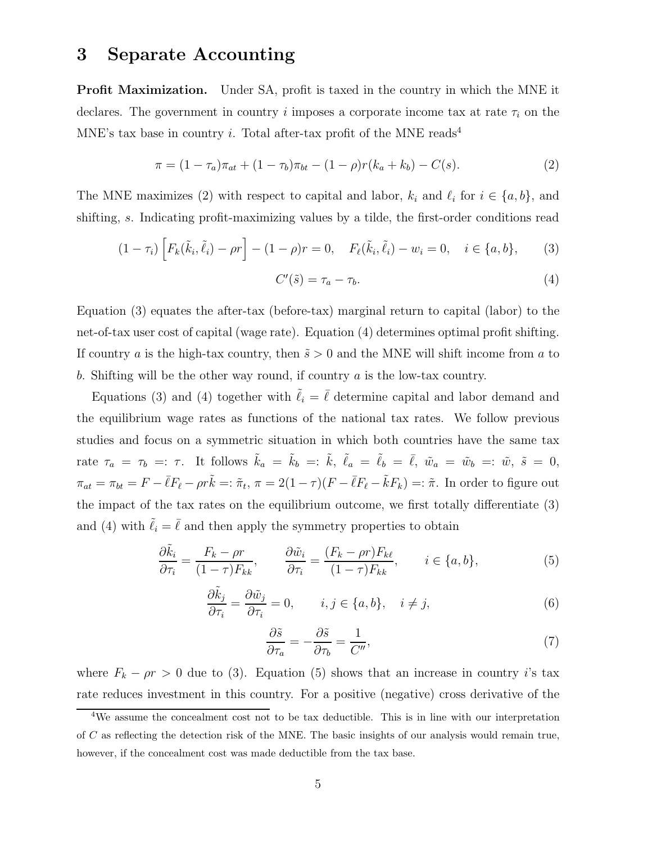### 3 Separate Accounting

**Profit Maximization.** Under SA, profit is taxed in the country in which the MNE it declares. The government in country i imposes a corporate income tax at rate  $\tau_i$  on the MNE's tax base in country i. Total after-tax profit of the MNE reads<sup>4</sup>

$$
\pi = (1 - \tau_a)\pi_{at} + (1 - \tau_b)\pi_{bt} - (1 - \rho)r(k_a + k_b) - C(s).
$$
\n(2)

The MNE maximizes (2) with respect to capital and labor,  $k_i$  and  $\ell_i$  for  $i \in \{a, b\}$ , and shifting, s. Indicating profit-maximizing values by a tilde, the first-order conditions read

$$
(1 - \tau_i) \left[ F_k(\tilde{k}_i, \tilde{\ell}_i) - \rho r \right] - (1 - \rho)r = 0, \quad F_\ell(\tilde{k}_i, \tilde{\ell}_i) - w_i = 0, \quad i \in \{a, b\}, \tag{3}
$$

$$
C'(\tilde{s}) = \tau_a - \tau_b. \tag{4}
$$

Equation (3) equates the after-tax (before-tax) marginal return to capital (labor) to the net-of-tax user cost of capital (wage rate). Equation (4) determines optimal profit shifting. If country a is the high-tax country, then  $\tilde{s} > 0$  and the MNE will shift income from a to b. Shifting will be the other way round, if country  $a$  is the low-tax country.

Equations (3) and (4) together with  $\tilde{\ell}_i = \bar{\ell}$  determine capital and labor demand and the equilibrium wage rates as functions of the national tax rates. We follow previous studies and focus on a symmetric situation in which both countries have the same tax rate  $\tau_a = \tau_b =: \tau$ . It follows  $\tilde{k}_a = \tilde{k}_b =: \tilde{k}, \ \tilde{\ell}_a = \tilde{\ell}_b = \bar{\ell}, \ \tilde{w}_a = \tilde{w}_b =: \tilde{w}, \ \tilde{s} = 0$ ,  $\pi_{at} = \pi_{bt} = F - \bar{\ell}F_{\ell} - \rho r\tilde{k} =: \tilde{\pi}_t, \pi = 2(1-\tau)(F - \bar{\ell}F_{\ell} - \tilde{k}F_{k}) =: \tilde{\pi}$ . In order to figure out the impact of the tax rates on the equilibrium outcome, we first totally differentiate (3) and (4) with  $\tilde{\ell}_i = \bar{\ell}$  and then apply the symmetry properties to obtain

$$
\frac{\partial \tilde{k}_i}{\partial \tau_i} = \frac{F_k - \rho r}{(1 - \tau) F_{kk}}, \qquad \frac{\partial \tilde{w}_i}{\partial \tau_i} = \frac{(F_k - \rho r) F_{k\ell}}{(1 - \tau) F_{kk}}, \qquad i \in \{a, b\},\tag{5}
$$

$$
\frac{\partial \tilde{k}_j}{\partial \tau_i} = \frac{\partial \tilde{w}_j}{\partial \tau_i} = 0, \qquad i, j \in \{a, b\}, \quad i \neq j,
$$
\n(6)

$$
\frac{\partial \tilde{s}}{\partial \tau_a} = -\frac{\partial \tilde{s}}{\partial \tau_b} = \frac{1}{C''},\tag{7}
$$

where  $F_k - \rho r > 0$  due to (3). Equation (5) shows that an increase in country i's tax rate reduces investment in this country. For a positive (negative) cross derivative of the

<sup>4</sup>We assume the concealment cost not to be tax deductible. This is in line with our interpretation of  $C$  as reflecting the detection risk of the MNE. The basic insights of our analysis would remain true, however, if the concealment cost was made deductible from the tax base.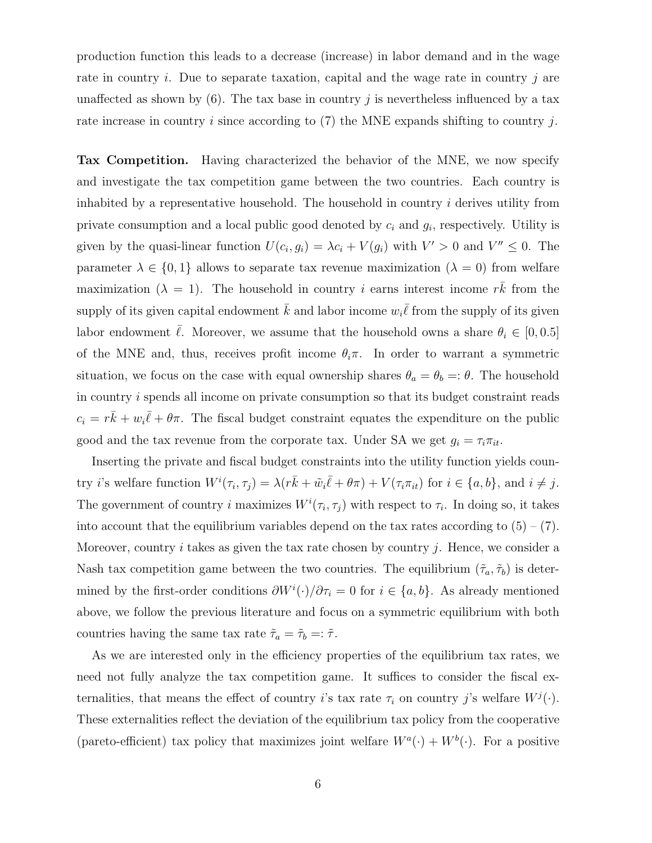production function this leads to a decrease (increase) in labor demand and in the wage rate in country  $i$ . Due to separate taxation, capital and the wage rate in country  $i$  are unaffected as shown by  $(6)$ . The tax base in country j is nevertheless influenced by a tax rate increase in country  $i$  since according to (7) the MNE expands shifting to country  $i$ .

Tax Competition. Having characterized the behavior of the MNE, we now specify and investigate the tax competition game between the two countries. Each country is inhabited by a representative household. The household in country i derives utility from private consumption and a local public good denoted by  $c_i$  and  $g_i$ , respectively. Utility is given by the quasi-linear function  $U(c_i, g_i) = \lambda c_i + V(g_i)$  with  $V' > 0$  and  $V'' \leq 0$ . The parameter  $\lambda \in \{0,1\}$  allows to separate tax revenue maximization  $(\lambda = 0)$  from welfare maximization ( $\lambda = 1$ ). The household in country i earns interest income  $r\overline{k}$  from the supply of its given capital endowment  $\bar{k}$  and labor income  $w_i\bar{\ell}$  from the supply of its given labor endowment  $\overline{\ell}$ . Moreover, we assume that the household owns a share  $\theta_i \in [0, 0.5]$ of the MNE and, thus, receives profit income  $\theta_i \pi$ . In order to warrant a symmetric situation, we focus on the case with equal ownership shares  $\theta_a = \theta_b =: \theta$ . The household in country i spends all income on private consumption so that its budget constraint reads  $c_i = r\bar{k} + w_i\bar{\ell} + \theta\pi$ . The fiscal budget constraint equates the expenditure on the public good and the tax revenue from the corporate tax. Under SA we get  $g_i = \tau_i \pi_{it}$ .

Inserting the private and fiscal budget constraints into the utility function yields country *i*'s welfare function  $W^i(\tau_i, \tau_j) = \lambda (r \bar{k} + \tilde{w}_i \bar{\ell} + \theta \pi) + V(\tau_i \pi_{it})$  for  $i \in \{a, b\}$ , and  $i \neq j$ . The government of country i maximizes  $W^i(\tau_i, \tau_j)$  with respect to  $\tau_i$ . In doing so, it takes into account that the equilibrium variables depend on the tax rates according to  $(5) - (7)$ . Moreover, country  $i$  takes as given the tax rate chosen by country  $j$ . Hence, we consider a Nash tax competition game between the two countries. The equilibrium  $(\tilde{\tau}_a, \tilde{\tau}_b)$  is determined by the first-order conditions  $\partial W^i(\cdot)/\partial \tau_i = 0$  for  $i \in \{a, b\}$ . As already mentioned above, we follow the previous literature and focus on a symmetric equilibrium with both countries having the same tax rate  $\tilde{\tau}_a = \tilde{\tau}_b =: \tilde{\tau}$ .

As we are interested only in the efficiency properties of the equilibrium tax rates, we need not fully analyze the tax competition game. It suffices to consider the fiscal externalities, that means the effect of country *i*'s tax rate  $\tau_i$  on country *j*'s welfare  $W^j(\cdot)$ . These externalities reflect the deviation of the equilibrium tax policy from the cooperative (pareto-efficient) tax policy that maximizes joint welfare  $W^a(\cdot) + W^b(\cdot)$ . For a positive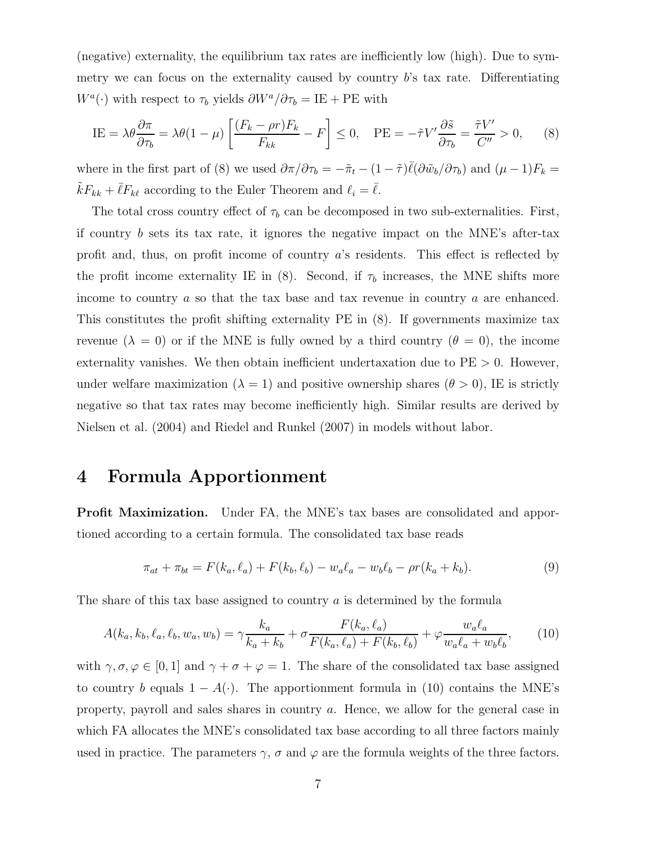(negative) externality, the equilibrium tax rates are inefficiently low (high). Due to symmetry we can focus on the externality caused by country b's tax rate. Differentiating  $W^a(\cdot)$  with respect to  $\tau_b$  yields  $\partial W^a/\partial \tau_b = \text{IE} + \text{PE}$  with

$$
\text{IE} = \lambda \theta \frac{\partial \pi}{\partial \tau_b} = \lambda \theta (1 - \mu) \left[ \frac{(F_k - \rho r) F_k}{F_{kk}} - F \right] \le 0, \quad \text{PE} = -\tilde{\tau} V' \frac{\partial \tilde{s}}{\partial \tau_b} = \frac{\tilde{\tau} V'}{C''} > 0, \quad (8)
$$

where in the first part of (8) we used  $\partial \pi / \partial \tau_b = -\tilde{\pi}_t - (1 - \tilde{\tau}) \overline{\ell} (\partial \tilde{w}_b / \partial \tau_b)$  and  $(\mu - 1)F_k =$  $\tilde{k}F_{kk} + \bar{\ell}F_{k\ell}$  according to the Euler Theorem and  $\ell_i = \bar{\ell}$ .

The total cross country effect of  $\tau_b$  can be decomposed in two sub-externalities. First, if country b sets its tax rate, it ignores the negative impact on the MNE's after-tax profit and, thus, on profit income of country a's residents. This effect is reflected by the profit income externality IE in (8). Second, if  $\tau_b$  increases, the MNE shifts more income to country  $a$  so that the tax base and tax revenue in country  $a$  are enhanced. This constitutes the profit shifting externality PE in (8). If governments maximize tax revenue ( $\lambda = 0$ ) or if the MNE is fully owned by a third country ( $\theta = 0$ ), the income externality vanishes. We then obtain inefficient undertaxation due to  $PE > 0$ . However, under welfare maximization ( $\lambda = 1$ ) and positive ownership shares ( $\theta > 0$ ), IE is strictly negative so that tax rates may become inefficiently high. Similar results are derived by Nielsen et al. (2004) and Riedel and Runkel (2007) in models without labor.

# 4 Formula Apportionment

Profit Maximization. Under FA, the MNE's tax bases are consolidated and apportioned according to a certain formula. The consolidated tax base reads

$$
\pi_{at} + \pi_{bt} = F(k_a, \ell_a) + F(k_b, \ell_b) - w_a \ell_a - w_b \ell_b - \rho r(k_a + k_b). \tag{9}
$$

The share of this tax base assigned to country a is determined by the formula

$$
A(k_a, k_b, \ell_a, \ell_b, w_a, w_b) = \gamma \frac{k_a}{k_a + k_b} + \sigma \frac{F(k_a, \ell_a)}{F(k_a, \ell_a) + F(k_b, \ell_b)} + \varphi \frac{w_a \ell_a}{w_a \ell_a + w_b \ell_b},\tag{10}
$$

with  $\gamma, \sigma, \varphi \in [0, 1]$  and  $\gamma + \sigma + \varphi = 1$ . The share of the consolidated tax base assigned to country b equals  $1 - A(\cdot)$ . The apportionment formula in (10) contains the MNE's property, payroll and sales shares in country a. Hence, we allow for the general case in which FA allocates the MNE's consolidated tax base according to all three factors mainly used in practice. The parameters  $\gamma$ ,  $\sigma$  and  $\varphi$  are the formula weights of the three factors.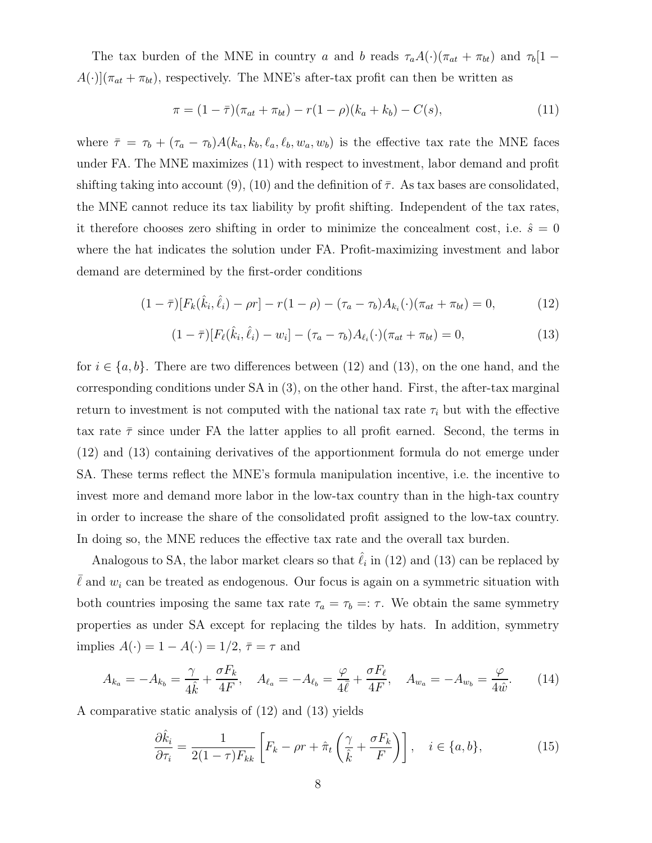The tax burden of the MNE in country a and b reads  $\tau_a A(\cdot)(\pi_{at} + \pi_{bt})$  and  $\tau_b[1 A(\cdot)|(\pi_{at} + \pi_{bt})$ , respectively. The MNE's after-tax profit can then be written as

$$
\pi = (1 - \bar{\tau})(\pi_{at} + \pi_{bt}) - r(1 - \rho)(k_a + k_b) - C(s), \tag{11}
$$

where  $\bar{\tau} = \tau_b + (\tau_a - \tau_b)A(k_a, k_b, \ell_a, \ell_b, w_a, w_b)$  is the effective tax rate the MNE faces under FA. The MNE maximizes (11) with respect to investment, labor demand and profit shifting taking into account (9), (10) and the definition of  $\bar{\tau}$ . As tax bases are consolidated, the MNE cannot reduce its tax liability by profit shifting. Independent of the tax rates, it therefore chooses zero shifting in order to minimize the concealment cost, i.e.  $\hat{s} = 0$ where the hat indicates the solution under FA. Profit-maximizing investment and labor demand are determined by the first-order conditions

$$
(1 - \bar{\tau})[F_k(\hat{k}_i, \hat{\ell}_i) - \rho r] - r(1 - \rho) - (\tau_a - \tau_b)A_{k_i}(\cdot)(\pi_{at} + \pi_{bt}) = 0,
$$
\n(12)

$$
(1 - \bar{\tau})[F_{\ell}(\hat{k}_i, \hat{\ell}_i) - w_i] - (\tau_a - \tau_b)A_{\ell_i}(\cdot)(\pi_{at} + \pi_{bt}) = 0,
$$
\n(13)

for  $i \in \{a, b\}$ . There are two differences between (12) and (13), on the one hand, and the corresponding conditions under SA in (3), on the other hand. First, the after-tax marginal return to investment is not computed with the national tax rate  $\tau_i$  but with the effective tax rate  $\bar{\tau}$  since under FA the latter applies to all profit earned. Second, the terms in (12) and (13) containing derivatives of the apportionment formula do not emerge under SA. These terms reflect the MNE's formula manipulation incentive, i.e. the incentive to invest more and demand more labor in the low-tax country than in the high-tax country in order to increase the share of the consolidated profit assigned to the low-tax country. In doing so, the MNE reduces the effective tax rate and the overall tax burden.

Analogous to SA, the labor market clears so that  $\hat{\ell}_i$  in (12) and (13) can be replaced by  $\bar{\ell}$  and  $w_i$  can be treated as endogenous. Our focus is again on a symmetric situation with both countries imposing the same tax rate  $\tau_a = \tau_b =: \tau$ . We obtain the same symmetry properties as under SA except for replacing the tildes by hats. In addition, symmetry implies  $A(\cdot) = 1 - A(\cdot) = 1/2$ ,  $\bar{\tau} = \tau$  and

$$
A_{k_a} = -A_{k_b} = \frac{\gamma}{4\hat{k}} + \frac{\sigma F_k}{4F}, \quad A_{\ell_a} = -A_{\ell_b} = \frac{\varphi}{4\bar{\ell}} + \frac{\sigma F_{\ell}}{4F}, \quad A_{w_a} = -A_{w_b} = \frac{\varphi}{4\hat{w}}.
$$
 (14)

A comparative static analysis of (12) and (13) yields

$$
\frac{\partial \hat{k}_i}{\partial \tau_i} = \frac{1}{2(1-\tau)F_{kk}} \left[ F_k - \rho r + \hat{\pi}_t \left( \frac{\gamma}{\hat{k}} + \frac{\sigma F_k}{F} \right) \right], \quad i \in \{a, b\},\tag{15}
$$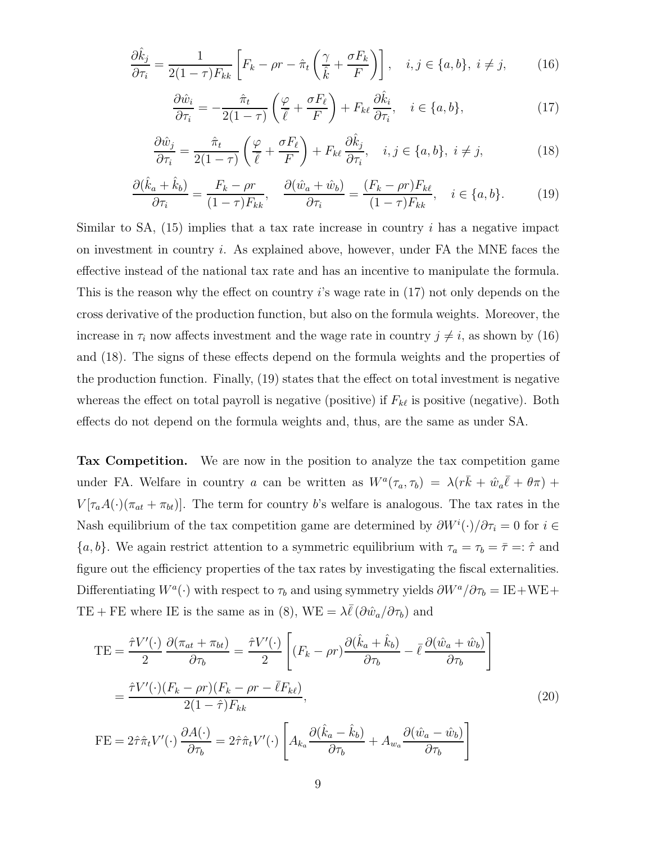$$
\frac{\partial \hat{k}_j}{\partial \tau_i} = \frac{1}{2(1-\tau)F_{kk}} \left[ F_k - \rho r - \hat{\pi}_t \left( \frac{\gamma}{\hat{k}} + \frac{\sigma F_k}{F} \right) \right], \quad i, j \in \{a, b\}, \ i \neq j,
$$
 (16)

$$
\frac{\partial \hat{w}_i}{\partial \tau_i} = -\frac{\hat{\pi}_t}{2(1-\tau)} \left( \frac{\varphi}{\bar{\ell}} + \frac{\sigma F_\ell}{F} \right) + F_{k\ell} \frac{\partial \hat{k}_i}{\partial \tau_i}, \quad i \in \{a, b\},\tag{17}
$$

$$
\frac{\partial \hat{w}_j}{\partial \tau_i} = \frac{\hat{\pi}_t}{2(1-\tau)} \left( \frac{\varphi}{\bar{\ell}} + \frac{\sigma F_\ell}{F} \right) + F_{k\ell} \frac{\partial \hat{k}_j}{\partial \tau_i}, \quad i, j \in \{a, b\}, \ i \neq j,
$$
\n(18)

$$
\frac{\partial(\hat{k}_a + \hat{k}_b)}{\partial \tau_i} = \frac{F_k - \rho r}{(1 - \tau)F_{kk}}, \quad \frac{\partial(\hat{w}_a + \hat{w}_b)}{\partial \tau_i} = \frac{(F_k - \rho r)F_{k\ell}}{(1 - \tau)F_{kk}}, \quad i \in \{a, b\}.
$$
 (19)

Similar to SA,  $(15)$  implies that a tax rate increase in country i has a negative impact on investment in country i. As explained above, however, under FA the MNE faces the effective instead of the national tax rate and has an incentive to manipulate the formula. This is the reason why the effect on country i's wage rate in (17) not only depends on the cross derivative of the production function, but also on the formula weights. Moreover, the increase in  $\tau_i$  now affects investment and the wage rate in country  $j \neq i$ , as shown by (16) and (18). The signs of these effects depend on the formula weights and the properties of the production function. Finally, (19) states that the effect on total investment is negative whereas the effect on total payroll is negative (positive) if  $F_{k\ell}$  is positive (negative). Both effects do not depend on the formula weights and, thus, are the same as under SA.

Tax Competition. We are now in the position to analyze the tax competition game under FA. Welfare in country a can be written as  $W^a(\tau_a, \tau_b) = \lambda (r\bar{k} + \hat{w}_a \bar{\ell} + \theta \pi) +$  $V[\tau_aA(\cdot)(\tau_{at} + \tau_{bt})]$ . The term for country b's welfare is analogous. The tax rates in the Nash equilibrium of the tax competition game are determined by  $\partial W^i(\cdot)/\partial \tau_i = 0$  for  $i \in$  ${a, b}$ . We again restrict attention to a symmetric equilibrium with  $\tau_a = \tau_b = \overline{\tau} =: \hat{\tau}$  and figure out the efficiency properties of the tax rates by investigating the fiscal externalities. Differentiating  $W^a(\cdot)$  with respect to  $\tau_b$  and using symmetry yields  $\partial W^a/\partial \tau_b = \text{IE} + \text{WE} + \text{IE}$ TE + FE where IE is the same as in (8), WE =  $\lambda \bar{\ell} (\partial \hat{w}_a / \partial \tau_b)$  and

$$
TE = \frac{\hat{\tau}V'(\cdot)}{2} \frac{\partial(\pi_{at} + \pi_{bt})}{\partial \tau_b} = \frac{\hat{\tau}V'(\cdot)}{2} \left[ (F_k - \rho r) \frac{\partial(\hat{k}_a + \hat{k}_b)}{\partial \tau_b} - \bar{\ell} \frac{\partial(\hat{w}_a + \hat{w}_b)}{\partial \tau_b} \right]
$$

$$
= \frac{\hat{\tau}V'(\cdot)(F_k - \rho r)(F_k - \rho r - \bar{\ell}F_{k\ell})}{2(1 - \hat{\tau})F_{kk}},
$$

$$
FE = 2\hat{\tau}\hat{\pi}_tV'(\cdot) \frac{\partial A(\cdot)}{\partial \tau_b} = 2\hat{\tau}\hat{\pi}_tV'(\cdot) \left[ A_{k_a} \frac{\partial(\hat{k}_a - \hat{k}_b)}{\partial \tau_b} + A_{w_a} \frac{\partial(\hat{w}_a - \hat{w}_b)}{\partial \tau_b} \right]
$$
(20)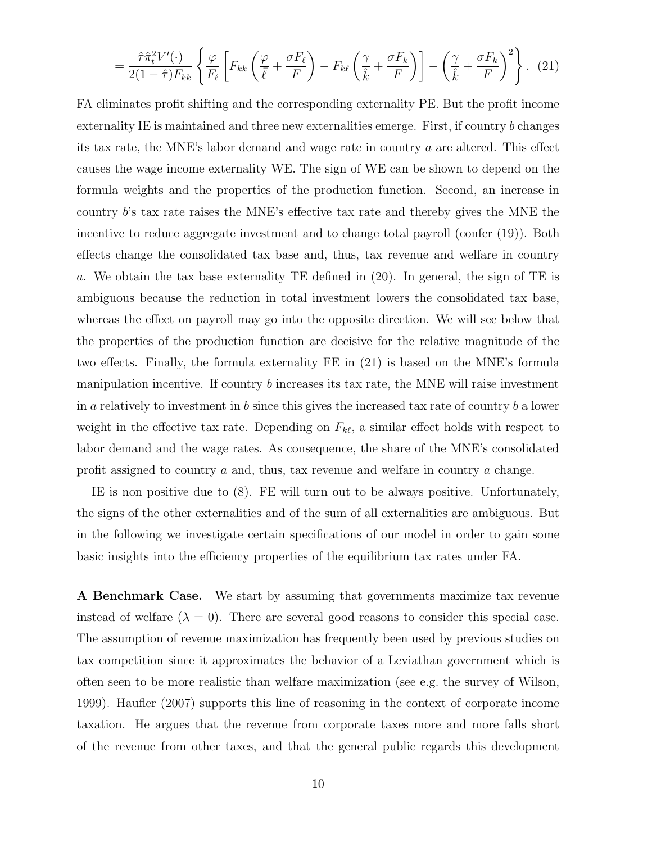$$
= \frac{\hat{\tau}\hat{\pi}_t^2 V'(\cdot)}{2(1-\hat{\tau})F_{kk}} \left\{ \frac{\varphi}{F_\ell} \left[ F_{kk} \left( \frac{\varphi}{\bar{\ell}} + \frac{\sigma F_\ell}{F} \right) - F_{k\ell} \left( \frac{\gamma}{\hat{k}} + \frac{\sigma F_k}{F} \right) \right] - \left( \frac{\gamma}{\hat{k}} + \frac{\sigma F_k}{F} \right)^2 \right\}.
$$
 (21)

FA eliminates profit shifting and the corresponding externality PE. But the profit income externality IE is maintained and three new externalities emerge. First, if country b changes its tax rate, the MNE's labor demand and wage rate in country  $a$  are altered. This effect causes the wage income externality WE. The sign of WE can be shown to depend on the formula weights and the properties of the production function. Second, an increase in country b's tax rate raises the MNE's effective tax rate and thereby gives the MNE the incentive to reduce aggregate investment and to change total payroll (confer (19)). Both effects change the consolidated tax base and, thus, tax revenue and welfare in country a. We obtain the tax base externality TE defined in (20). In general, the sign of TE is ambiguous because the reduction in total investment lowers the consolidated tax base, whereas the effect on payroll may go into the opposite direction. We will see below that the properties of the production function are decisive for the relative magnitude of the two effects. Finally, the formula externality FE in (21) is based on the MNE's formula manipulation incentive. If country  $b$  increases its tax rate, the MNE will raise investment in a relatively to investment in  $b$  since this gives the increased tax rate of country  $b$  a lower weight in the effective tax rate. Depending on  $F_{k\ell}$ , a similar effect holds with respect to labor demand and the wage rates. As consequence, the share of the MNE's consolidated profit assigned to country a and, thus, tax revenue and welfare in country a change.

IE is non positive due to (8). FE will turn out to be always positive. Unfortunately, the signs of the other externalities and of the sum of all externalities are ambiguous. But in the following we investigate certain specifications of our model in order to gain some basic insights into the efficiency properties of the equilibrium tax rates under FA.

A Benchmark Case. We start by assuming that governments maximize tax revenue instead of welfare  $(\lambda = 0)$ . There are several good reasons to consider this special case. The assumption of revenue maximization has frequently been used by previous studies on tax competition since it approximates the behavior of a Leviathan government which is often seen to be more realistic than welfare maximization (see e.g. the survey of Wilson, 1999). Haufler (2007) supports this line of reasoning in the context of corporate income taxation. He argues that the revenue from corporate taxes more and more falls short of the revenue from other taxes, and that the general public regards this development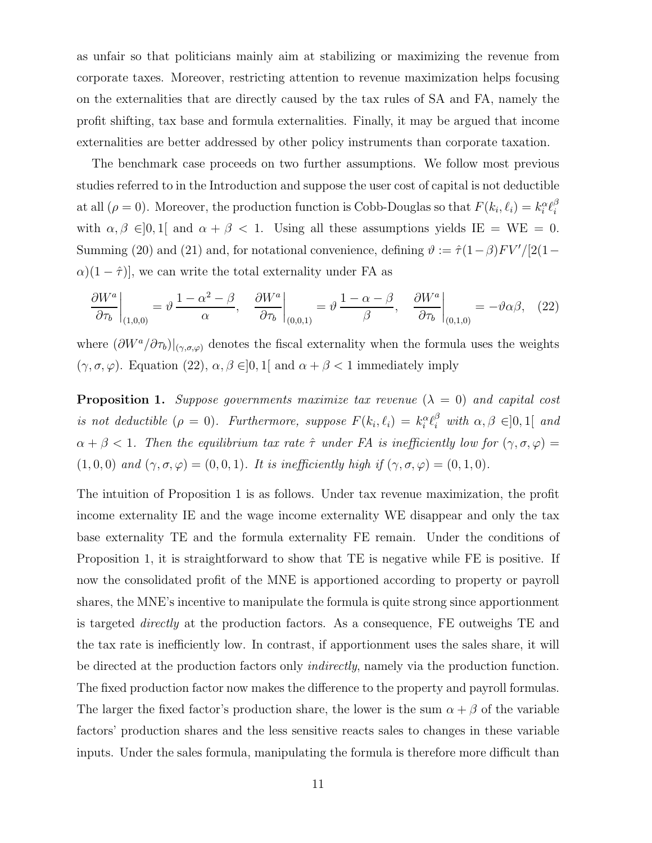as unfair so that politicians mainly aim at stabilizing or maximizing the revenue from corporate taxes. Moreover, restricting attention to revenue maximization helps focusing on the externalities that are directly caused by the tax rules of SA and FA, namely the profit shifting, tax base and formula externalities. Finally, it may be argued that income externalities are better addressed by other policy instruments than corporate taxation.

The benchmark case proceeds on two further assumptions. We follow most previous studies referred to in the Introduction and suppose the user cost of capital is not deductible at all  $(\rho = 0)$ . Moreover, the production function is Cobb-Douglas so that  $F(k_i, \ell_i) = k_i^{\alpha} \ell_i^{\beta}$ i with  $\alpha, \beta \in ]0,1[$  and  $\alpha + \beta < 1$ . Using all these assumptions yields IE = WE = 0. Summing (20) and (21) and, for notational convenience, defining  $\vartheta := \hat{\tau}(1-\beta)FV'/[2(1-\beta)FV'/[2(1-\beta)FV']$  $\alpha$ (1 –  $\hat{\tau}$ ), we can write the total externality under FA as

$$
\left. \frac{\partial W^a}{\partial \tau_b} \right|_{(1,0,0)} = \vartheta \, \frac{1 - \alpha^2 - \beta}{\alpha}, \quad \left. \frac{\partial W^a}{\partial \tau_b} \right|_{(0,0,1)} = \vartheta \, \frac{1 - \alpha - \beta}{\beta}, \quad \left. \frac{\partial W^a}{\partial \tau_b} \right|_{(0,1,0)} = -\vartheta \alpha \beta, \quad (22)
$$

where  $(\partial W^a/\partial \tau_b)|_{(\gamma,\sigma,\varphi)}$  denotes the fiscal externality when the formula uses the weights  $(\gamma, \sigma, \varphi)$ . Equation (22),  $\alpha, \beta \in ]0,1[$  and  $\alpha + \beta < 1$  immediately imply

**Proposition 1.** Suppose governments maximize tax revenue  $(\lambda = 0)$  and capital cost is not deductible  $(\rho = 0)$ . Furthermore, suppose  $F(k_i, \ell_i) = k_i^{\alpha} \ell_i^{\beta}$  with  $\alpha, \beta \in ]0,1[$  and  $\alpha + \beta < 1$ . Then the equilibrium tax rate  $\hat{\tau}$  under FA is inefficiently low for  $(\gamma, \sigma, \varphi) =$  $(1,0,0)$  and  $(\gamma,\sigma,\varphi)=(0,0,1)$ . It is inefficiently high if  $(\gamma,\sigma,\varphi)=(0,1,0)$ .

The intuition of Proposition 1 is as follows. Under tax revenue maximization, the profit income externality IE and the wage income externality WE disappear and only the tax base externality TE and the formula externality FE remain. Under the conditions of Proposition 1, it is straightforward to show that TE is negative while FE is positive. If now the consolidated profit of the MNE is apportioned according to property or payroll shares, the MNE's incentive to manipulate the formula is quite strong since apportionment is targeted directly at the production factors. As a consequence, FE outweighs TE and the tax rate is inefficiently low. In contrast, if apportionment uses the sales share, it will be directed at the production factors only *indirectly*, namely via the production function. The fixed production factor now makes the difference to the property and payroll formulas. The larger the fixed factor's production share, the lower is the sum  $\alpha + \beta$  of the variable factors' production shares and the less sensitive reacts sales to changes in these variable inputs. Under the sales formula, manipulating the formula is therefore more difficult than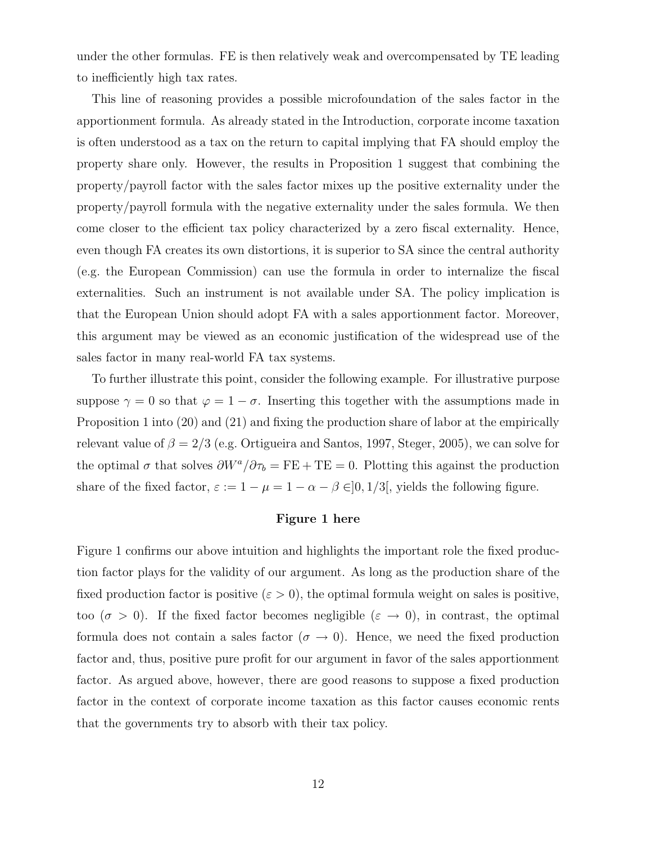under the other formulas. FE is then relatively weak and overcompensated by TE leading to inefficiently high tax rates.

This line of reasoning provides a possible microfoundation of the sales factor in the apportionment formula. As already stated in the Introduction, corporate income taxation is often understood as a tax on the return to capital implying that FA should employ the property share only. However, the results in Proposition 1 suggest that combining the property/payroll factor with the sales factor mixes up the positive externality under the property/payroll formula with the negative externality under the sales formula. We then come closer to the efficient tax policy characterized by a zero fiscal externality. Hence, even though FA creates its own distortions, it is superior to SA since the central authority (e.g. the European Commission) can use the formula in order to internalize the fiscal externalities. Such an instrument is not available under SA. The policy implication is that the European Union should adopt FA with a sales apportionment factor. Moreover, this argument may be viewed as an economic justification of the widespread use of the sales factor in many real-world FA tax systems.

To further illustrate this point, consider the following example. For illustrative purpose suppose  $\gamma = 0$  so that  $\varphi = 1 - \sigma$ . Inserting this together with the assumptions made in Proposition 1 into (20) and (21) and fixing the production share of labor at the empirically relevant value of  $\beta = 2/3$  (e.g. Ortigueira and Santos, 1997, Steger, 2005), we can solve for the optimal  $\sigma$  that solves  $\partial W^a/\partial \tau_b = FE + TE = 0$ . Plotting this against the production share of the fixed factor,  $\varepsilon := 1 - \mu = 1 - \alpha - \beta \in ]0, 1/3[$ , yields the following figure.

#### Figure 1 here

Figure 1 confirms our above intuition and highlights the important role the fixed production factor plays for the validity of our argument. As long as the production share of the fixed production factor is positive  $(\varepsilon > 0)$ , the optimal formula weight on sales is positive, too  $(\sigma > 0)$ . If the fixed factor becomes negligible  $(\varepsilon \to 0)$ , in contrast, the optimal formula does not contain a sales factor  $(\sigma \to 0)$ . Hence, we need the fixed production factor and, thus, positive pure profit for our argument in favor of the sales apportionment factor. As argued above, however, there are good reasons to suppose a fixed production factor in the context of corporate income taxation as this factor causes economic rents that the governments try to absorb with their tax policy.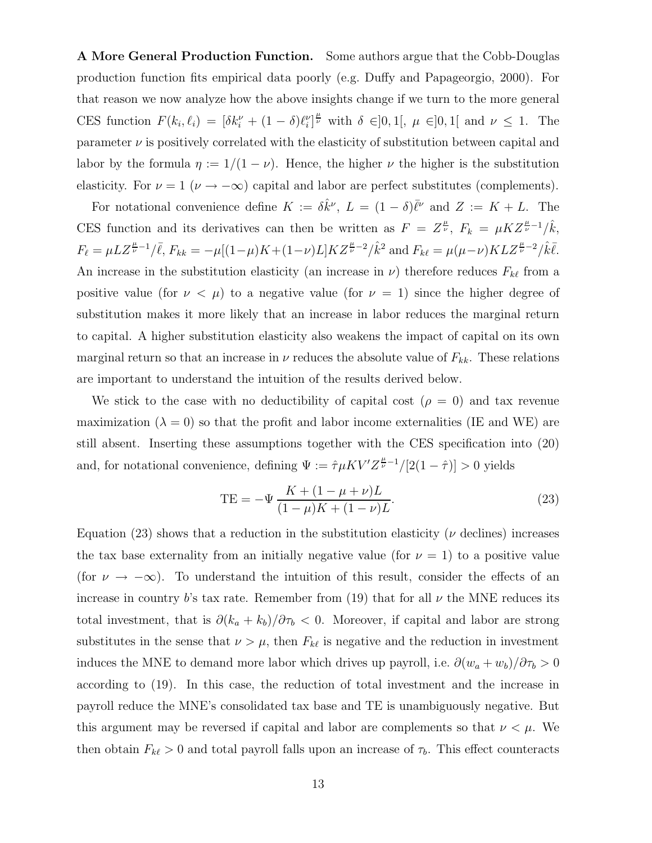A More General Production Function. Some authors argue that the Cobb-Douglas production function fits empirical data poorly (e.g. Duffy and Papageorgio, 2000). For that reason we now analyze how the above insights change if we turn to the more general CES function  $F(k_i, \ell_i) = [\delta k_i^{\nu} + (1 - \delta) \ell_i^{\nu}]^{\frac{\mu}{\nu}}$  with  $\delta \in ]0,1[$ ,  $\mu \in ]0,1[$  and  $\nu \leq 1$ . The parameter  $\nu$  is positively correlated with the elasticity of substitution between capital and labor by the formula  $\eta := 1/(1 - \nu)$ . Hence, the higher  $\nu$  the higher is the substitution elasticity. For  $\nu = 1$  ( $\nu \rightarrow -\infty$ ) capital and labor are perfect substitutes (complements).

For notational convenience define  $K := \delta \hat{k}^{\nu}$ ,  $L = (1 - \delta) \bar{\ell}^{\nu}$  and  $Z := K + L$ . The CES function and its derivatives can then be written as  $F = Z^{\frac{\mu}{\nu}}$ ,  $F_k = \mu K Z^{\frac{\mu}{\nu}-1}/\hat{k}$ ,  $F_{\ell} = \mu L Z^{\frac{\mu}{\nu}-1}/\bar{\ell}, F_{kk} = -\mu [(1-\mu)K + (1-\nu)L]K Z^{\frac{\mu}{\nu}-2}/\hat{k}^{2}$  and  $F_{k\ell} = \mu(\mu-\nu)K L Z^{\frac{\mu}{\nu}-2}/\hat{k}\bar{\ell}$ . An increase in the substitution elasticity (an increase in  $\nu$ ) therefore reduces  $F_{k\ell}$  from a positive value (for  $\nu < \mu$ ) to a negative value (for  $\nu = 1$ ) since the higher degree of substitution makes it more likely that an increase in labor reduces the marginal return to capital. A higher substitution elasticity also weakens the impact of capital on its own marginal return so that an increase in  $\nu$  reduces the absolute value of  $F_{kk}$ . These relations are important to understand the intuition of the results derived below.

We stick to the case with no deductibility of capital cost  $(\rho = 0)$  and tax revenue maximization ( $\lambda = 0$ ) so that the profit and labor income externalities (IE and WE) are still absent. Inserting these assumptions together with the CES specification into (20) and, for notational convenience, defining  $\Psi := \hat{\tau} \mu K V' Z^{\frac{\mu}{\nu}-1}/[2(1-\hat{\tau})] > 0$  yields

$$
TE = -\Psi \frac{K + (1 - \mu + \nu)L}{(1 - \mu)K + (1 - \nu)L}.
$$
\n(23)

Equation (23) shows that a reduction in the substitution elasticity ( $\nu$  declines) increases the tax base externality from an initially negative value (for  $\nu = 1$ ) to a positive value (for  $\nu \to -\infty$ ). To understand the intuition of this result, consider the effects of an increase in country b's tax rate. Remember from (19) that for all  $\nu$  the MNE reduces its total investment, that is  $\partial (k_a + k_b)/\partial \tau_b < 0$ . Moreover, if capital and labor are strong substitutes in the sense that  $\nu > \mu$ , then  $F_{k\ell}$  is negative and the reduction in investment induces the MNE to demand more labor which drives up payroll, i.e.  $\partial (w_a + w_b)/\partial \tau_b > 0$ according to (19). In this case, the reduction of total investment and the increase in payroll reduce the MNE's consolidated tax base and TE is unambiguously negative. But this argument may be reversed if capital and labor are complements so that  $\nu < \mu$ . We then obtain  $F_{k\ell} > 0$  and total payroll falls upon an increase of  $\tau_b$ . This effect counteracts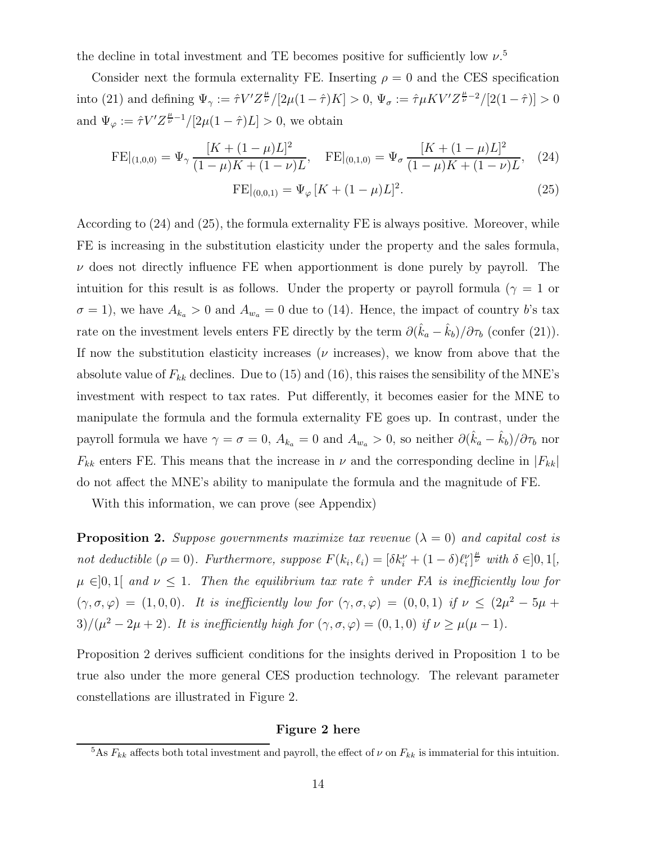the decline in total investment and TE becomes positive for sufficiently low  $\nu$ <sup>5</sup>

Consider next the formula externality FE. Inserting  $\rho = 0$  and the CES specification into (21) and defining  $\Psi_{\gamma} := \hat{\tau} V' Z^{\frac{\mu}{\nu}} / [2\mu(1-\hat{\tau})K] > 0$ ,  $\Psi_{\sigma} := \hat{\tau} \mu K V' Z^{\frac{\mu}{\nu}-2} / [2(1-\hat{\tau})] > 0$ and  $\Psi_{\varphi} := \hat{\tau} V' Z^{\frac{\mu}{\nu}-1}/[2\mu(1-\hat{\tau})L] > 0$ , we obtain

$$
F E|_{(1,0,0)} = \Psi_{\gamma} \frac{[K + (1 - \mu)L]^2}{(1 - \mu)K + (1 - \nu)L}, \quad F E|_{(0,1,0)} = \Psi_{\sigma} \frac{[K + (1 - \mu)L]^2}{(1 - \mu)K + (1 - \nu)L}, \quad (24)
$$

$$
FE|_{(0,0,1)} = \Psi_{\varphi} \left[ K + (1 - \mu)L \right]^2.
$$
 (25)

According to (24) and (25), the formula externality FE is always positive. Moreover, while FE is increasing in the substitution elasticity under the property and the sales formula,  $\nu$  does not directly influence FE when apportionment is done purely by payroll. The intuition for this result is as follows. Under the property or payroll formula ( $\gamma = 1$  or  $\sigma = 1$ , we have  $A_{k_a} > 0$  and  $A_{w_a} = 0$  due to (14). Hence, the impact of country b's tax rate on the investment levels enters FE directly by the term  $\partial (\hat{k}_a - \hat{k}_b)/\partial \tau_b$  (confer (21)). If now the substitution elasticity increases ( $\nu$  increases), we know from above that the absolute value of  $F_{kk}$  declines. Due to (15) and (16), this raises the sensibility of the MNE's investment with respect to tax rates. Put differently, it becomes easier for the MNE to manipulate the formula and the formula externality FE goes up. In contrast, under the payroll formula we have  $\gamma = \sigma = 0$ ,  $A_{k_a} = 0$  and  $A_{w_a} > 0$ , so neither  $\partial (\hat{k}_a - \hat{k}_b)/\partial \tau_b$  nor  $F_{kk}$  enters FE. This means that the increase in  $\nu$  and the corresponding decline in  $|F_{kk}|$ do not affect the MNE's ability to manipulate the formula and the magnitude of FE.

With this information, we can prove (see Appendix)

**Proposition 2.** Suppose governments maximize tax revenue  $(\lambda = 0)$  and capital cost is not deductible  $(\rho = 0)$ . Furthermore, suppose  $F(k_i, \ell_i) = [\delta k_i^{\nu} + (1 - \delta)\ell_i^{\nu}]^{\frac{\mu}{\nu}}$  with  $\delta \in ]0,1[$ ,  $\mu \in ]0,1[$  and  $\nu \leq 1$ . Then the equilibrium tax rate  $\hat{\tau}$  under FA is inefficiently low for  $(\gamma, \sigma, \varphi) = (1, 0, 0)$ . It is inefficiently low for  $(\gamma, \sigma, \varphi) = (0, 0, 1)$  if  $\nu \leq (2\mu^2 - 5\mu + 1)$  $3)/(\mu^2 - 2\mu + 2)$ . It is inefficiently high for  $(\gamma, \sigma, \varphi) = (0, 1, 0)$  if  $\nu \ge \mu(\mu - 1)$ .

Proposition 2 derives sufficient conditions for the insights derived in Proposition 1 to be true also under the more general CES production technology. The relevant parameter constellations are illustrated in Figure 2.

#### Figure 2 here

<sup>&</sup>lt;sup>5</sup>As  $F_{kk}$  affects both total investment and payroll, the effect of  $\nu$  on  $F_{kk}$  is immaterial for this intuition.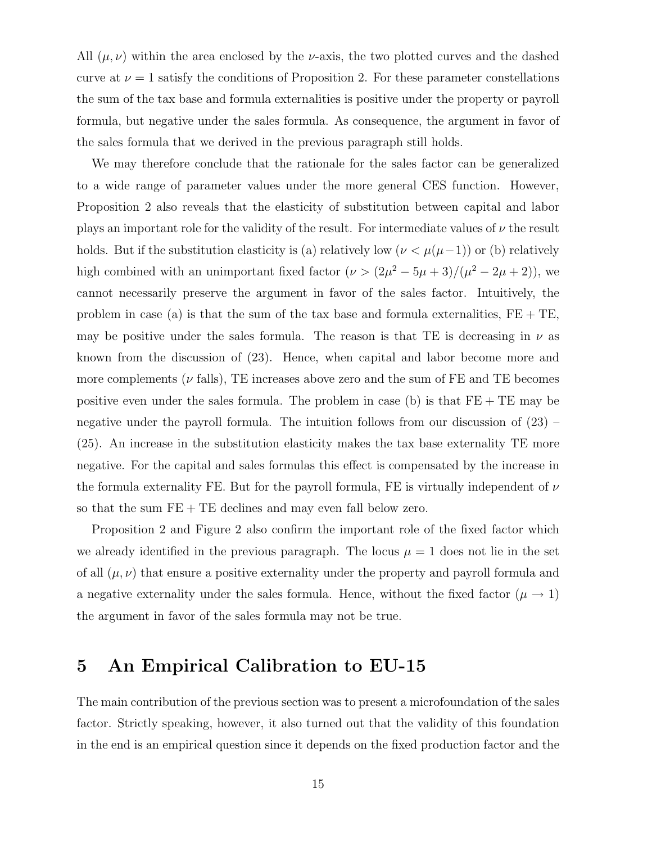All  $(\mu, \nu)$  within the area enclosed by the *v*-axis, the two plotted curves and the dashed curve at  $\nu = 1$  satisfy the conditions of Proposition 2. For these parameter constellations the sum of the tax base and formula externalities is positive under the property or payroll formula, but negative under the sales formula. As consequence, the argument in favor of the sales formula that we derived in the previous paragraph still holds.

We may therefore conclude that the rationale for the sales factor can be generalized to a wide range of parameter values under the more general CES function. However, Proposition 2 also reveals that the elasticity of substitution between capital and labor plays an important role for the validity of the result. For intermediate values of  $\nu$  the result holds. But if the substitution elasticity is (a) relatively low  $(\nu < \mu(\mu-1))$  or (b) relatively high combined with an unimportant fixed factor  $(\nu > (2\mu^2 - 5\mu + 3)/(\mu^2 - 2\mu + 2))$ , we cannot necessarily preserve the argument in favor of the sales factor. Intuitively, the problem in case (a) is that the sum of the tax base and formula externalities,  $FE + TE$ , may be positive under the sales formula. The reason is that TE is decreasing in  $\nu$  as known from the discussion of (23). Hence, when capital and labor become more and more complements ( $\nu$  falls), TE increases above zero and the sum of FE and TE becomes positive even under the sales formula. The problem in case (b) is that  $FE + TE$  may be negative under the payroll formula. The intuition follows from our discussion of  $(23)$  – (25). An increase in the substitution elasticity makes the tax base externality TE more negative. For the capital and sales formulas this effect is compensated by the increase in the formula externality FE. But for the payroll formula, FE is virtually independent of  $\nu$ so that the sum  $FE + TE$  declines and may even fall below zero.

Proposition 2 and Figure 2 also confirm the important role of the fixed factor which we already identified in the previous paragraph. The locus  $\mu = 1$  does not lie in the set of all  $(\mu, \nu)$  that ensure a positive externality under the property and payroll formula and a negative externality under the sales formula. Hence, without the fixed factor  $(\mu \rightarrow 1)$ the argument in favor of the sales formula may not be true.

## 5 An Empirical Calibration to EU-15

The main contribution of the previous section was to present a microfoundation of the sales factor. Strictly speaking, however, it also turned out that the validity of this foundation in the end is an empirical question since it depends on the fixed production factor and the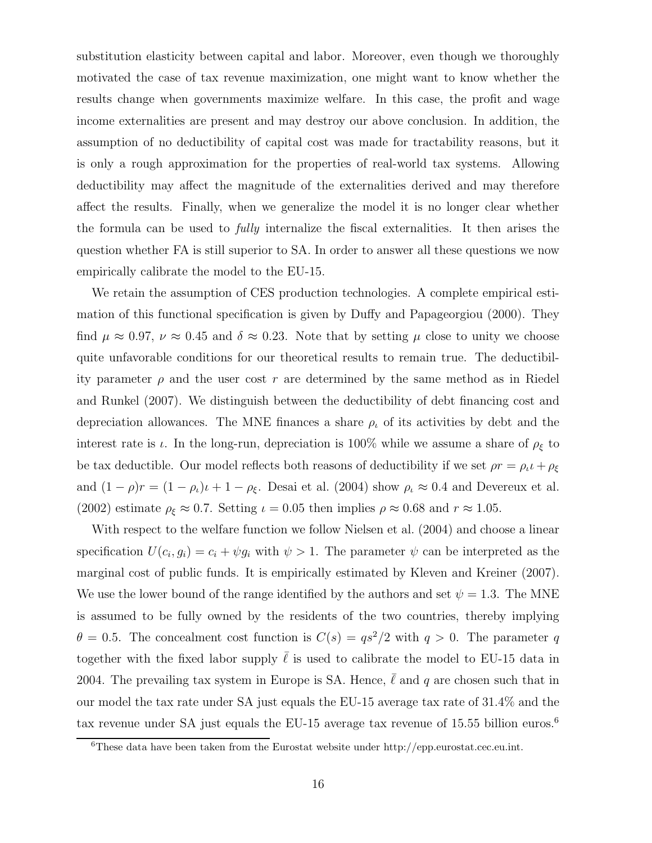substitution elasticity between capital and labor. Moreover, even though we thoroughly motivated the case of tax revenue maximization, one might want to know whether the results change when governments maximize welfare. In this case, the profit and wage income externalities are present and may destroy our above conclusion. In addition, the assumption of no deductibility of capital cost was made for tractability reasons, but it is only a rough approximation for the properties of real-world tax systems. Allowing deductibility may affect the magnitude of the externalities derived and may therefore affect the results. Finally, when we generalize the model it is no longer clear whether the formula can be used to fully internalize the fiscal externalities. It then arises the question whether FA is still superior to SA. In order to answer all these questions we now empirically calibrate the model to the EU-15.

We retain the assumption of CES production technologies. A complete empirical estimation of this functional specification is given by Duffy and Papageorgiou (2000). They find  $\mu \approx 0.97$ ,  $\nu \approx 0.45$  and  $\delta \approx 0.23$ . Note that by setting  $\mu$  close to unity we choose quite unfavorable conditions for our theoretical results to remain true. The deductibility parameter  $\rho$  and the user cost r are determined by the same method as in Riedel and Runkel (2007). We distinguish between the deductibility of debt financing cost and depreciation allowances. The MNE finances a share  $\rho_{\mu}$  of its activities by debt and the interest rate is  $\iota$ . In the long-run, depreciation is 100% while we assume a share of  $\rho_{\xi}$  to be tax deductible. Our model reflects both reasons of deductibility if we set  $\rho r = \rho_t t + \rho_{\xi}$ and  $(1 - \rho)r = (1 - \rho_t)\ell + 1 - \rho_\xi$ . Desai et al. (2004) show  $\rho_t \approx 0.4$  and Devereux et al. (2002) estimate  $\rho_{\xi} \approx 0.7$ . Setting  $\iota = 0.05$  then implies  $\rho \approx 0.68$  and  $r \approx 1.05$ .

With respect to the welfare function we follow Nielsen et al. (2004) and choose a linear specification  $U(c_i, g_i) = c_i + \psi g_i$  with  $\psi > 1$ . The parameter  $\psi$  can be interpreted as the marginal cost of public funds. It is empirically estimated by Kleven and Kreiner (2007). We use the lower bound of the range identified by the authors and set  $\psi = 1.3$ . The MNE is assumed to be fully owned by the residents of the two countries, thereby implying  $\theta = 0.5$ . The concealment cost function is  $C(s) = \frac{qs^2}{2}$  with  $q > 0$ . The parameter q together with the fixed labor supply  $\bar{\ell}$  is used to calibrate the model to EU-15 data in 2004. The prevailing tax system in Europe is SA. Hence,  $\bar{\ell}$  and q are chosen such that in our model the tax rate under SA just equals the EU-15 average tax rate of 31.4% and the tax revenue under SA just equals the EU-15 average tax revenue of 15.55 billion euros.<sup>6</sup>

 $6$ These data have been taken from the Eurostat website under http://epp.eurostat.cec.eu.int.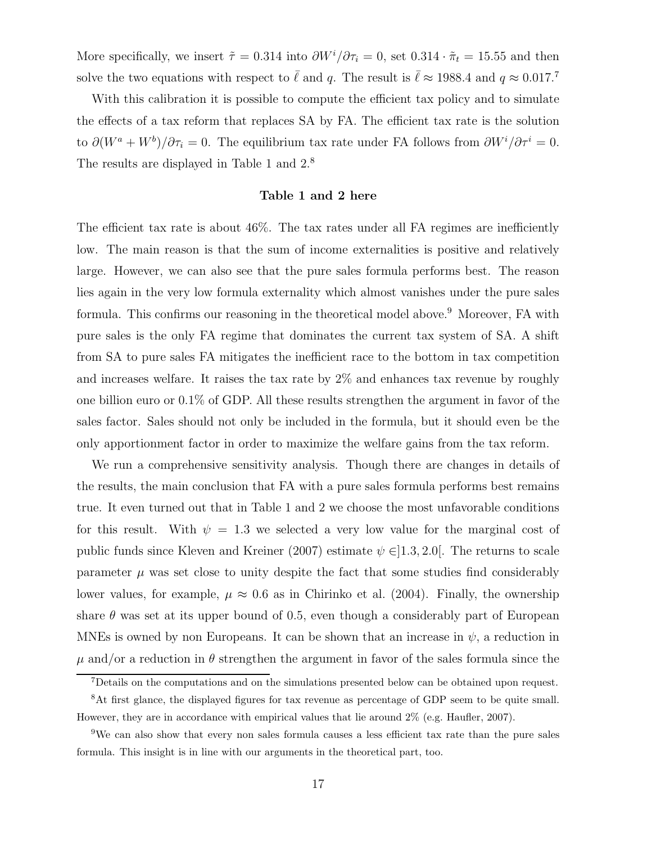More specifically, we insert  $\tilde{\tau} = 0.314$  into  $\partial W^i/\partial \tau_i = 0$ , set  $0.314 \cdot \tilde{\pi}_t = 15.55$  and then solve the two equations with respect to  $\bar{\ell}$  and q. The result is  $\bar{\ell} \approx 1988.4$  and  $q \approx 0.017$ .<sup>7</sup>

With this calibration it is possible to compute the efficient tax policy and to simulate the effects of a tax reform that replaces SA by FA. The efficient tax rate is the solution to  $\partial (W^a + W^b)/\partial \tau_i = 0$ . The equilibrium tax rate under FA follows from  $\partial W^i/\partial \tau^i = 0$ . The results are displayed in Table 1 and 2.<sup>8</sup>

#### Table 1 and 2 here

The efficient tax rate is about 46%. The tax rates under all FA regimes are inefficiently low. The main reason is that the sum of income externalities is positive and relatively large. However, we can also see that the pure sales formula performs best. The reason lies again in the very low formula externality which almost vanishes under the pure sales formula. This confirms our reasoning in the theoretical model above.<sup>9</sup> Moreover, FA with pure sales is the only FA regime that dominates the current tax system of SA. A shift from SA to pure sales FA mitigates the inefficient race to the bottom in tax competition and increases welfare. It raises the tax rate by 2% and enhances tax revenue by roughly one billion euro or 0.1% of GDP. All these results strengthen the argument in favor of the sales factor. Sales should not only be included in the formula, but it should even be the only apportionment factor in order to maximize the welfare gains from the tax reform.

We run a comprehensive sensitivity analysis. Though there are changes in details of the results, the main conclusion that FA with a pure sales formula performs best remains true. It even turned out that in Table 1 and 2 we choose the most unfavorable conditions for this result. With  $\psi = 1.3$  we selected a very low value for the marginal cost of public funds since Kleven and Kreiner (2007) estimate  $\psi \in ]1.3, 2.0[$ . The returns to scale parameter  $\mu$  was set close to unity despite the fact that some studies find considerably lower values, for example,  $\mu \approx 0.6$  as in Chirinko et al. (2004). Finally, the ownership share  $\theta$  was set at its upper bound of 0.5, even though a considerably part of European MNEs is owned by non Europeans. It can be shown that an increase in  $\psi$ , a reduction in  $\mu$  and/or a reduction in  $\theta$  strengthen the argument in favor of the sales formula since the

<sup>7</sup>Details on the computations and on the simulations presented below can be obtained upon request.

<sup>&</sup>lt;sup>8</sup>At first glance, the displayed figures for tax revenue as percentage of GDP seem to be quite small. However, they are in accordance with empirical values that lie around  $2\%$  (e.g. Haufler, 2007).

<sup>9</sup>We can also show that every non sales formula causes a less efficient tax rate than the pure sales formula. This insight is in line with our arguments in the theoretical part, too.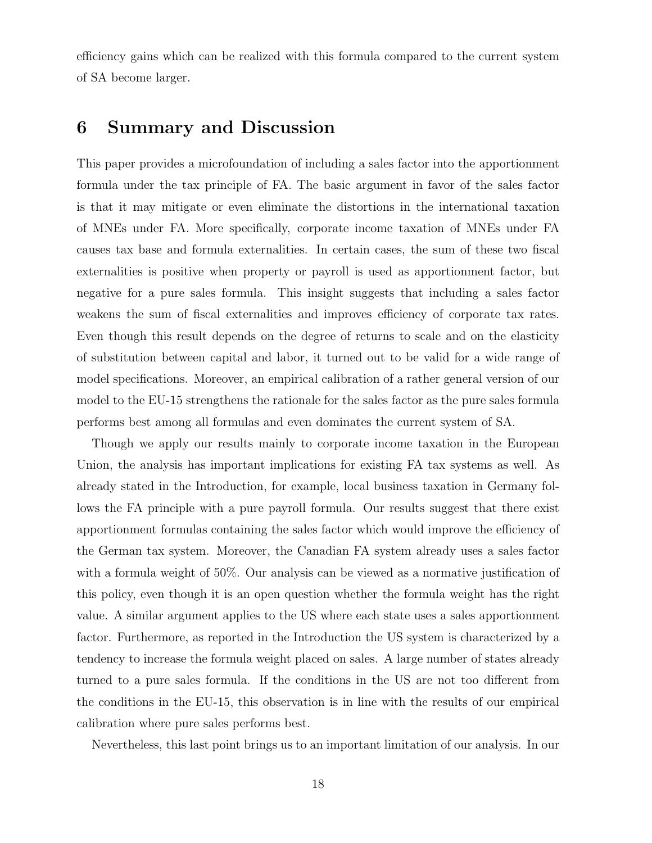efficiency gains which can be realized with this formula compared to the current system of SA become larger.

# 6 Summary and Discussion

This paper provides a microfoundation of including a sales factor into the apportionment formula under the tax principle of FA. The basic argument in favor of the sales factor is that it may mitigate or even eliminate the distortions in the international taxation of MNEs under FA. More specifically, corporate income taxation of MNEs under FA causes tax base and formula externalities. In certain cases, the sum of these two fiscal externalities is positive when property or payroll is used as apportionment factor, but negative for a pure sales formula. This insight suggests that including a sales factor weakens the sum of fiscal externalities and improves efficiency of corporate tax rates. Even though this result depends on the degree of returns to scale and on the elasticity of substitution between capital and labor, it turned out to be valid for a wide range of model specifications. Moreover, an empirical calibration of a rather general version of our model to the EU-15 strengthens the rationale for the sales factor as the pure sales formula performs best among all formulas and even dominates the current system of SA.

Though we apply our results mainly to corporate income taxation in the European Union, the analysis has important implications for existing FA tax systems as well. As already stated in the Introduction, for example, local business taxation in Germany follows the FA principle with a pure payroll formula. Our results suggest that there exist apportionment formulas containing the sales factor which would improve the efficiency of the German tax system. Moreover, the Canadian FA system already uses a sales factor with a formula weight of 50%. Our analysis can be viewed as a normative justification of this policy, even though it is an open question whether the formula weight has the right value. A similar argument applies to the US where each state uses a sales apportionment factor. Furthermore, as reported in the Introduction the US system is characterized by a tendency to increase the formula weight placed on sales. A large number of states already turned to a pure sales formula. If the conditions in the US are not too different from the conditions in the EU-15, this observation is in line with the results of our empirical calibration where pure sales performs best.

Nevertheless, this last point brings us to an important limitation of our analysis. In our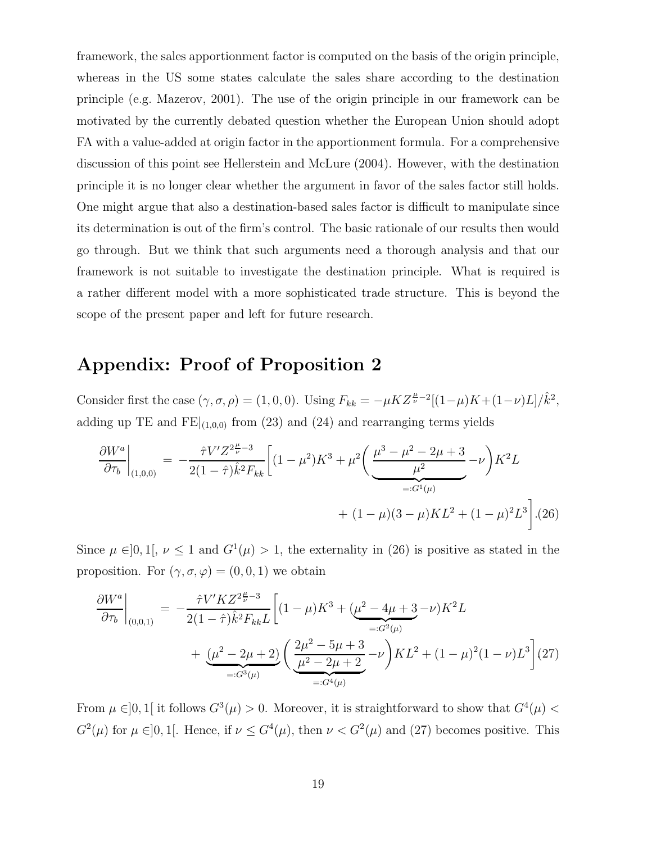framework, the sales apportionment factor is computed on the basis of the origin principle, whereas in the US some states calculate the sales share according to the destination principle (e.g. Mazerov, 2001). The use of the origin principle in our framework can be motivated by the currently debated question whether the European Union should adopt FA with a value-added at origin factor in the apportionment formula. For a comprehensive discussion of this point see Hellerstein and McLure (2004). However, with the destination principle it is no longer clear whether the argument in favor of the sales factor still holds. One might argue that also a destination-based sales factor is difficult to manipulate since its determination is out of the firm's control. The basic rationale of our results then would go through. But we think that such arguments need a thorough analysis and that our framework is not suitable to investigate the destination principle. What is required is a rather different model with a more sophisticated trade structure. This is beyond the scope of the present paper and left for future research.

# Appendix: Proof of Proposition 2

Consider first the case  $(\gamma, \sigma, \rho) = (1, 0, 0)$ . Using  $F_{kk} = -\mu K Z^{\frac{\mu}{\nu}-2}[(1-\mu)K+(1-\nu)L]/\hat{k}^2$ , adding up TE and  $FE|_{(1,0,0)}$  from (23) and (24) and rearranging terms yields

$$
\frac{\partial W^a}{\partial \tau_b}\Big|_{(1,0,0)} = -\frac{\hat{\tau}V'Z^{2\frac{\mu}{\nu}-3}}{2(1-\hat{\tau})\hat{k}^2F_{kk}} \Big[ (1-\mu^2)K^3 + \mu^2 \bigg(\underbrace{\frac{\mu^3 - \mu^2 - 2\mu + 3}{\mu^2}}_{=:G^1(\mu)} - \nu\bigg)K^2L
$$
\n
$$
+ (1-\mu)(3-\mu)KL^2 + (1-\mu)^2L^3 \Big]. (26)
$$

Since  $\mu \in ]0,1[$ ,  $\nu \leq 1$  and  $G^1(\mu) > 1$ , the externality in (26) is positive as stated in the proposition. For  $(\gamma, \sigma, \varphi) = (0, 0, 1)$  we obtain

$$
\frac{\partial W^{a}}{\partial \tau_{b}}\Big|_{(0,0,1)} = -\frac{\hat{\tau}V' K Z^{2\frac{\mu}{\nu}-3}}{2(1-\hat{\tau})\hat{k}^{2}F_{kk}L} \Big[ (1-\mu)K^{3} + (\mu^{2} - 4\mu + 3 - \nu)K^{2}L + (\mu^{2} - 2\mu + 2)\left(\frac{2\mu^{2} - 5\mu + 3}{\mu^{2} - 2\mu + 2} - \nu\right)KL^{2} + (1-\mu)^{2}(1-\nu)L^{3} \Big] (27)
$$
\n
$$
= G^{3}(\mu)
$$

From  $\mu \in ]0,1[$  it follows  $G^3(\mu) > 0$ . Moreover, it is straightforward to show that  $G^4(\mu) <$  $G^2(\mu)$  for  $\mu \in ]0,1[$ . Hence, if  $\nu \leq G^4(\mu)$ , then  $\nu < G^2(\mu)$  and  $(27)$  becomes positive. This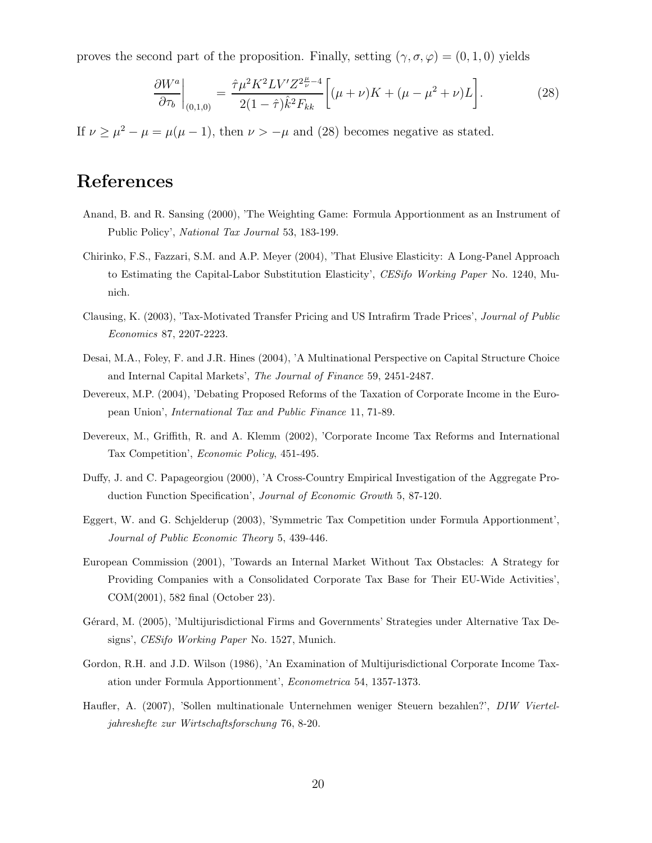proves the second part of the proposition. Finally, setting  $(\gamma, \sigma, \varphi) = (0, 1, 0)$  yields

$$
\frac{\partial W^{a}}{\partial \tau_{b}}\bigg|_{(0,1,0)} = \frac{\hat{\tau}\mu^{2}K^{2}LV'Z^{2\frac{\mu}{\nu}-4}}{2(1-\hat{\tau})\hat{k}^{2}F_{kk}}\bigg[\big(\mu+\nu\big)K+\big(\mu-\mu^{2}+\nu\big)L\bigg].
$$
 (28)

If  $\nu \ge \mu^2 - \mu = \mu(\mu - 1)$ , then  $\nu > -\mu$  and (28) becomes negative as stated.

# References

- Anand, B. and R. Sansing (2000), 'The Weighting Game: Formula Apportionment as an Instrument of Public Policy', National Tax Journal 53, 183-199.
- Chirinko, F.S., Fazzari, S.M. and A.P. Meyer (2004), 'That Elusive Elasticity: A Long-Panel Approach to Estimating the Capital-Labor Substitution Elasticity', CESifo Working Paper No. 1240, Munich.
- Clausing, K. (2003), 'Tax-Motivated Transfer Pricing and US Intrafirm Trade Prices', Journal of Public Economics 87, 2207-2223.
- Desai, M.A., Foley, F. and J.R. Hines (2004), 'A Multinational Perspective on Capital Structure Choice and Internal Capital Markets', The Journal of Finance 59, 2451-2487.
- Devereux, M.P. (2004), 'Debating Proposed Reforms of the Taxation of Corporate Income in the European Union', International Tax and Public Finance 11, 71-89.
- Devereux, M., Griffith, R. and A. Klemm (2002), 'Corporate Income Tax Reforms and International Tax Competition', Economic Policy, 451-495.
- Duffy, J. and C. Papageorgiou (2000), 'A Cross-Country Empirical Investigation of the Aggregate Production Function Specification', Journal of Economic Growth 5, 87-120.
- Eggert, W. and G. Schjelderup (2003), 'Symmetric Tax Competition under Formula Apportionment', Journal of Public Economic Theory 5, 439-446.
- European Commission (2001), 'Towards an Internal Market Without Tax Obstacles: A Strategy for Providing Companies with a Consolidated Corporate Tax Base for Their EU-Wide Activities', COM(2001), 582 final (October 23).
- Gérard, M. (2005), 'Multijurisdictional Firms and Governments' Strategies under Alternative Tax Designs', CESifo Working Paper No. 1527, Munich.
- Gordon, R.H. and J.D. Wilson (1986), 'An Examination of Multijurisdictional Corporate Income Taxation under Formula Apportionment', Econometrica 54, 1357-1373.
- Haufler, A. (2007), 'Sollen multinationale Unternehmen weniger Steuern bezahlen?', DIW Vierteljahreshefte zur Wirtschaftsforschung 76, 8-20.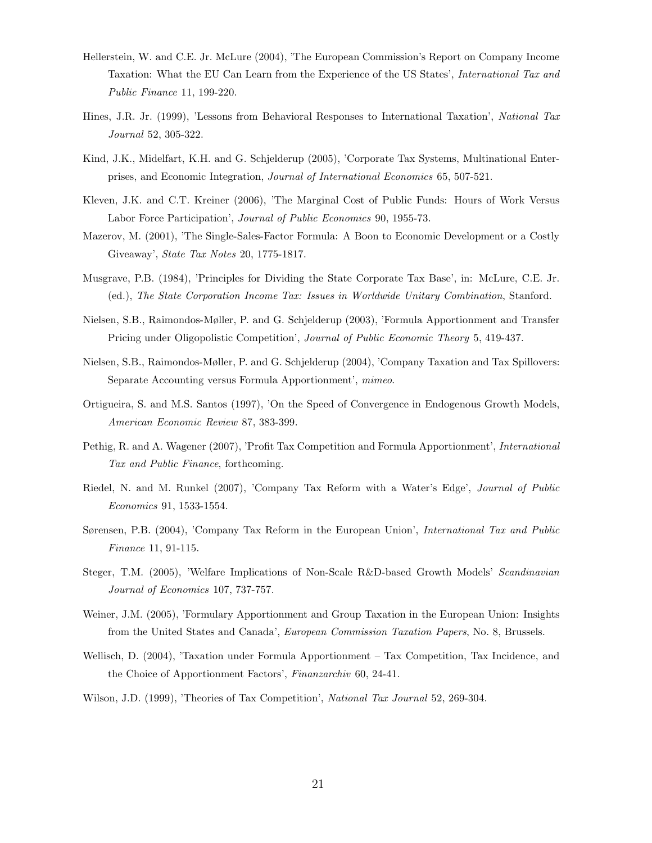- Hellerstein, W. and C.E. Jr. McLure (2004), 'The European Commission's Report on Company Income Taxation: What the EU Can Learn from the Experience of the US States', International Tax and Public Finance 11, 199-220.
- Hines, J.R. Jr. (1999), 'Lessons from Behavioral Responses to International Taxation', National Tax Journal 52, 305-322.
- Kind, J.K., Midelfart, K.H. and G. Schjelderup (2005), 'Corporate Tax Systems, Multinational Enterprises, and Economic Integration, Journal of International Economics 65, 507-521.
- Kleven, J.K. and C.T. Kreiner (2006), 'The Marginal Cost of Public Funds: Hours of Work Versus Labor Force Participation', Journal of Public Economics 90, 1955-73.
- Mazerov, M. (2001), 'The Single-Sales-Factor Formula: A Boon to Economic Development or a Costly Giveaway', State Tax Notes 20, 1775-1817.
- Musgrave, P.B. (1984), 'Principles for Dividing the State Corporate Tax Base', in: McLure, C.E. Jr. (ed.), The State Corporation Income Tax: Issues in Worldwide Unitary Combination, Stanford.
- Nielsen, S.B., Raimondos-Møller, P. and G. Schjelderup (2003), 'Formula Apportionment and Transfer Pricing under Oligopolistic Competition', Journal of Public Economic Theory 5, 419-437.
- Nielsen, S.B., Raimondos-Møller, P. and G. Schjelderup (2004), 'Company Taxation and Tax Spillovers: Separate Accounting versus Formula Apportionment', mimeo.
- Ortigueira, S. and M.S. Santos (1997), 'On the Speed of Convergence in Endogenous Growth Models, American Economic Review 87, 383-399.
- Pethig, R. and A. Wagener (2007), 'Profit Tax Competition and Formula Apportionment', International Tax and Public Finance, forthcoming.
- Riedel, N. and M. Runkel (2007), 'Company Tax Reform with a Water's Edge', Journal of Public Economics 91, 1533-1554.
- Sørensen, P.B. (2004), 'Company Tax Reform in the European Union', International Tax and Public Finance 11, 91-115.
- Steger, T.M. (2005), 'Welfare Implications of Non-Scale R&D-based Growth Models' Scandinavian Journal of Economics 107, 737-757.
- Weiner, J.M. (2005), 'Formulary Apportionment and Group Taxation in the European Union: Insights from the United States and Canada', European Commission Taxation Papers, No. 8, Brussels.
- Wellisch, D. (2004), 'Taxation under Formula Apportionment Tax Competition, Tax Incidence, and the Choice of Apportionment Factors', Finanzarchiv 60, 24-41.
- Wilson, J.D. (1999), 'Theories of Tax Competition', National Tax Journal 52, 269-304.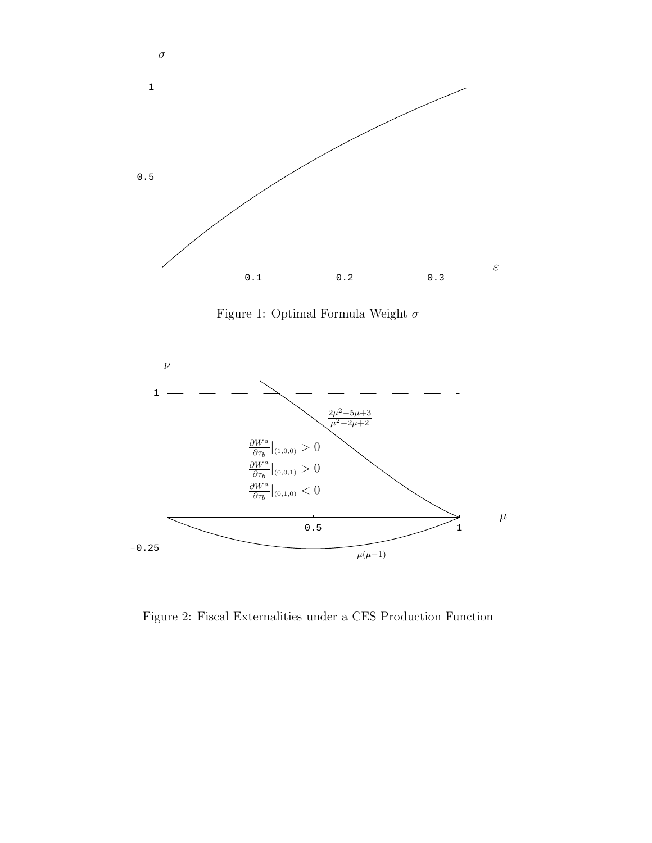

Figure 1: Optimal Formula Weight $\sigma$ 



Figure 2: Fiscal Externalities under a CES Production Function